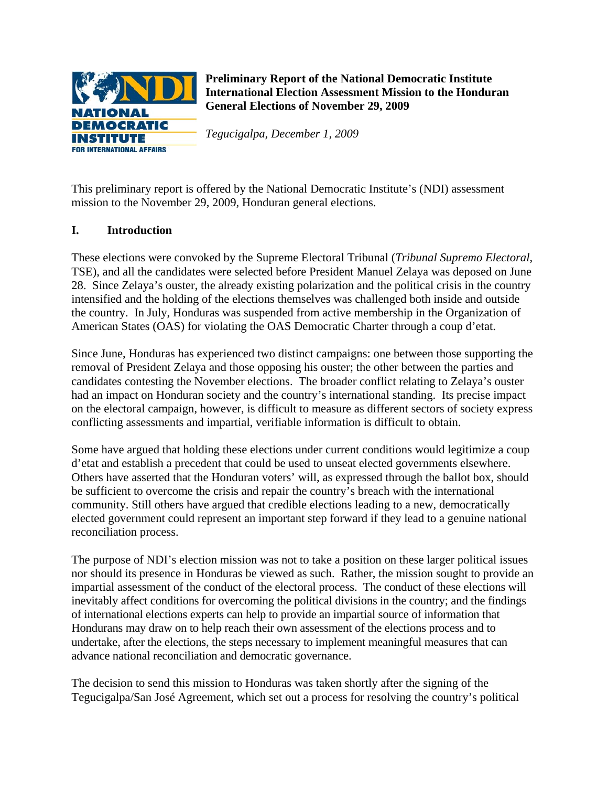

**Preliminary Report of the National Democratic Institute International Election Assessment Mission to the Honduran General Elections of November 29, 2009** 

*Tegucigalpa, December 1, 2009* 

This preliminary report is offered by the National Democratic Institute's (NDI) assessment mission to the November 29, 2009, Honduran general elections.

# **I. Introduction**

These elections were convoked by the Supreme Electoral Tribunal (*Tribunal Supremo Electoral*, TSE), and all the candidates were selected before President Manuel Zelaya was deposed on June 28. Since Zelaya's ouster, the already existing polarization and the political crisis in the country intensified and the holding of the elections themselves was challenged both inside and outside the country. In July, Honduras was suspended from active membership in the Organization of American States (OAS) for violating the OAS Democratic Charter through a coup d'etat.

Since June, Honduras has experienced two distinct campaigns: one between those supporting the removal of President Zelaya and those opposing his ouster; the other between the parties and candidates contesting the November elections. The broader conflict relating to Zelaya's ouster had an impact on Honduran society and the country's international standing. Its precise impact on the electoral campaign, however, is difficult to measure as different sectors of society express conflicting assessments and impartial, verifiable information is difficult to obtain.

Some have argued that holding these elections under current conditions would legitimize a coup d'etat and establish a precedent that could be used to unseat elected governments elsewhere. Others have asserted that the Honduran voters' will, as expressed through the ballot box, should be sufficient to overcome the crisis and repair the country's breach with the international community. Still others have argued that credible elections leading to a new, democratically elected government could represent an important step forward if they lead to a genuine national reconciliation process.

The purpose of NDI's election mission was not to take a position on these larger political issues nor should its presence in Honduras be viewed as such. Rather, the mission sought to provide an impartial assessment of the conduct of the electoral process. The conduct of these elections will inevitably affect conditions for overcoming the political divisions in the country; and the findings of international elections experts can help to provide an impartial source of information that Hondurans may draw on to help reach their own assessment of the elections process and to undertake, after the elections, the steps necessary to implement meaningful measures that can advance national reconciliation and democratic governance.

The decision to send this mission to Honduras was taken shortly after the signing of the Tegucigalpa/San José Agreement, which set out a process for resolving the country's political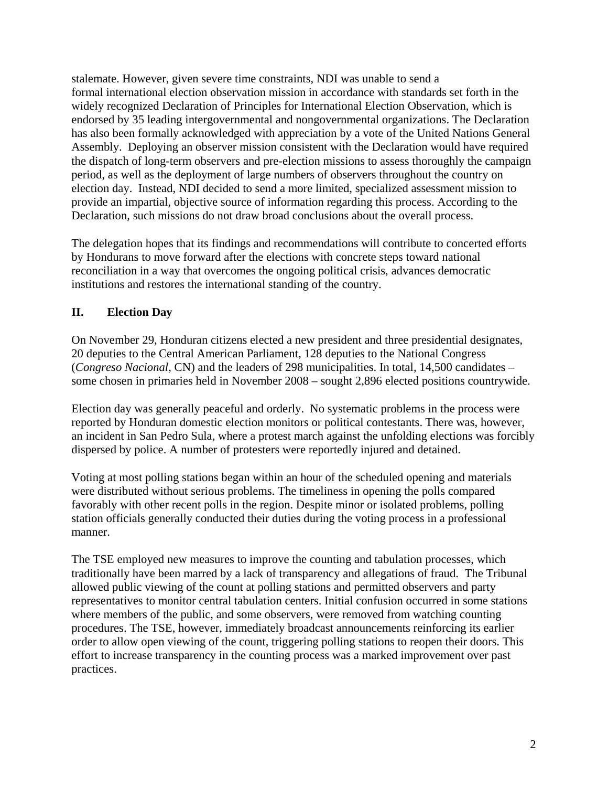stalemate. However, given severe time constraints, NDI was unable to send a formal international election observation mission in accordance with standards set forth in the widely recognized Declaration of Principles for International Election Observation, which is endorsed by 35 leading intergovernmental and nongovernmental organizations. The Declaration has also been formally acknowledged with appreciation by a vote of the United Nations General Assembly. Deploying an observer mission consistent with the Declaration would have required the dispatch of long-term observers and pre-election missions to assess thoroughly the campaign period, as well as the deployment of large numbers of observers throughout the country on election day. Instead, NDI decided to send a more limited, specialized assessment mission to provide an impartial, objective source of information regarding this process. According to the Declaration, such missions do not draw broad conclusions about the overall process.

The delegation hopes that its findings and recommendations will contribute to concerted efforts by Hondurans to move forward after the elections with concrete steps toward national reconciliation in a way that overcomes the ongoing political crisis, advances democratic institutions and restores the international standing of the country.

# **II. Election Day**

On November 29, Honduran citizens elected a new president and three presidential designates, 20 deputies to the Central American Parliament, 128 deputies to the National Congress (*Congreso Nacional*, CN) and the leaders of 298 municipalities. In total, 14,500 candidates – some chosen in primaries held in November 2008 – sought 2,896 elected positions countrywide.

Election day was generally peaceful and orderly. No systematic problems in the process were reported by Honduran domestic election monitors or political contestants. There was, however, an incident in San Pedro Sula, where a protest march against the unfolding elections was forcibly dispersed by police. A number of protesters were reportedly injured and detained.

Voting at most polling stations began within an hour of the scheduled opening and materials were distributed without serious problems. The timeliness in opening the polls compared favorably with other recent polls in the region. Despite minor or isolated problems, polling station officials generally conducted their duties during the voting process in a professional manner.

The TSE employed new measures to improve the counting and tabulation processes, which traditionally have been marred by a lack of transparency and allegations of fraud. The Tribunal allowed public viewing of the count at polling stations and permitted observers and party representatives to monitor central tabulation centers. Initial confusion occurred in some stations where members of the public, and some observers, were removed from watching counting procedures. The TSE, however, immediately broadcast announcements reinforcing its earlier order to allow open viewing of the count, triggering polling stations to reopen their doors. This effort to increase transparency in the counting process was a marked improvement over past practices.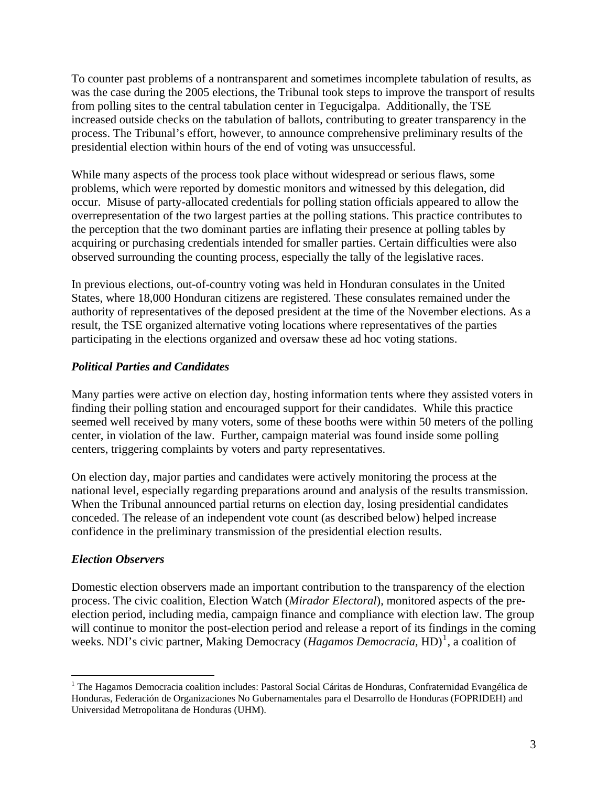To counter past problems of a nontransparent and sometimes incomplete tabulation of results, as was the case during the 2005 elections, the Tribunal took steps to improve the transport of results from polling sites to the central tabulation center in Tegucigalpa. Additionally, the TSE increased outside checks on the tabulation of ballots, contributing to greater transparency in the process. The Tribunal's effort, however, to announce comprehensive preliminary results of the presidential election within hours of the end of voting was unsuccessful.

While many aspects of the process took place without widespread or serious flaws, some problems, which were reported by domestic monitors and witnessed by this delegation, did occur. Misuse of party-allocated credentials for polling station officials appeared to allow the overrepresentation of the two largest parties at the polling stations. This practice contributes to the perception that the two dominant parties are inflating their presence at polling tables by acquiring or purchasing credentials intended for smaller parties. Certain difficulties were also observed surrounding the counting process, especially the tally of the legislative races.

In previous elections, out-of-country voting was held in Honduran consulates in the United States, where 18,000 Honduran citizens are registered. These consulates remained under the authority of representatives of the deposed president at the time of the November elections. As a result, the TSE organized alternative voting locations where representatives of the parties participating in the elections organized and oversaw these ad hoc voting stations.

### *Political Parties and Candidates*

Many parties were active on election day, hosting information tents where they assisted voters in finding their polling station and encouraged support for their candidates. While this practice seemed well received by many voters, some of these booths were within 50 meters of the polling center, in violation of the law. Further, campaign material was found inside some polling centers, triggering complaints by voters and party representatives.

On election day, major parties and candidates were actively monitoring the process at the national level, especially regarding preparations around and analysis of the results transmission. When the Tribunal announced partial returns on election day, losing presidential candidates conceded. The release of an independent vote count (as described below) helped increase confidence in the preliminary transmission of the presidential election results.

### *Election Observers*

 $\overline{a}$ 

Domestic election observers made an important contribution to the transparency of the election process. The civic coalition, Election Watch (*Mirador Electoral*), monitored aspects of the preelection period, including media, campaign finance and compliance with election law. The group will continue to monitor the post-election period and release a report of its findings in the coming weeks. NDI's civic partner, Making Democracy (*Hagamos Democracia*, HD)<sup>[1](#page-2-0)</sup>, a coalition of

<span id="page-2-0"></span><sup>&</sup>lt;sup>1</sup> The Hagamos Democracia coalition includes: Pastoral Social Cáritas de Honduras, Confraternidad Evangélica de Honduras, Federación de Organizaciones No Gubernamentales para el Desarrollo de Honduras (FOPRIDEH) and Universidad Metropolitana de Honduras (UHM).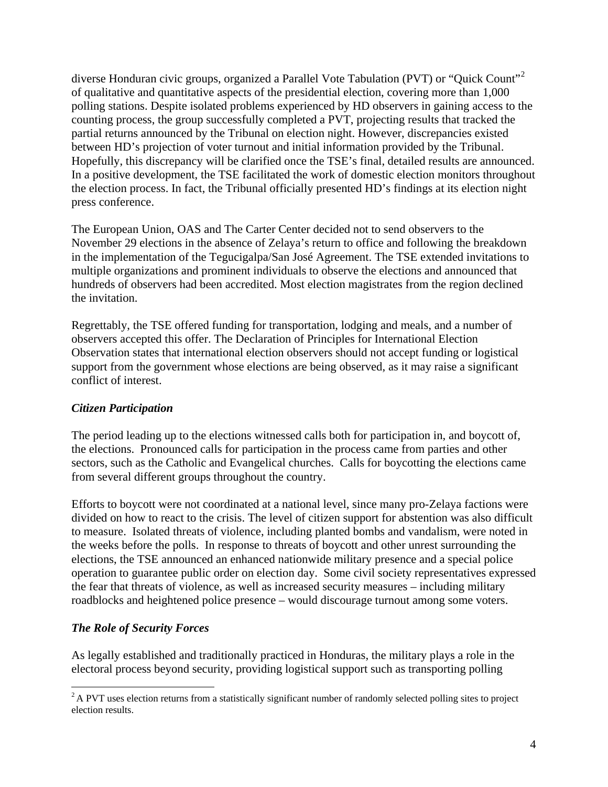diverse Honduran civic groups, organized a Parallel Vote Tabulation (PVT) or "Quick Count"<sup>[2](#page-3-0)</sup> of qualitative and quantitative aspects of the presidential election, covering more than 1,000 polling stations. Despite isolated problems experienced by HD observers in gaining access to the counting process, the group successfully completed a PVT, projecting results that tracked the partial returns announced by the Tribunal on election night. However, discrepancies existed between HD's projection of voter turnout and initial information provided by the Tribunal. Hopefully, this discrepancy will be clarified once the TSE's final, detailed results are announced. In a positive development, the TSE facilitated the work of domestic election monitors throughout the election process. In fact, the Tribunal officially presented HD's findings at its election night press conference.

The European Union, OAS and The Carter Center decided not to send observers to the November 29 elections in the absence of Zelaya's return to office and following the breakdown in the implementation of the Tegucigalpa/San José Agreement. The TSE extended invitations to multiple organizations and prominent individuals to observe the elections and announced that hundreds of observers had been accredited. Most election magistrates from the region declined the invitation.

Regrettably, the TSE offered funding for transportation, lodging and meals, and a number of observers accepted this offer. The Declaration of Principles for International Election Observation states that international election observers should not accept funding or logistical support from the government whose elections are being observed, as it may raise a significant conflict of interest.

### *Citizen Participation*

The period leading up to the elections witnessed calls both for participation in, and boycott of, the elections. Pronounced calls for participation in the process came from parties and other sectors, such as the Catholic and Evangelical churches. Calls for boycotting the elections came from several different groups throughout the country.

Efforts to boycott were not coordinated at a national level, since many pro-Zelaya factions were divided on how to react to the crisis. The level of citizen support for abstention was also difficult to measure. Isolated threats of violence, including planted bombs and vandalism, were noted in the weeks before the polls. In response to threats of boycott and other unrest surrounding the elections, the TSE announced an enhanced nationwide military presence and a special police operation to guarantee public order on election day. Some civil society representatives expressed the fear that threats of violence, as well as increased security measures – including military roadblocks and heightened police presence – would discourage turnout among some voters.

# *The Role of Security Forces*

 $\overline{a}$ 

As legally established and traditionally practiced in Honduras, the military plays a role in the electoral process beyond security, providing logistical support such as transporting polling

<span id="page-3-0"></span><sup>&</sup>lt;sup>2</sup> A PVT uses election returns from a statistically significant number of randomly selected polling sites to project election results.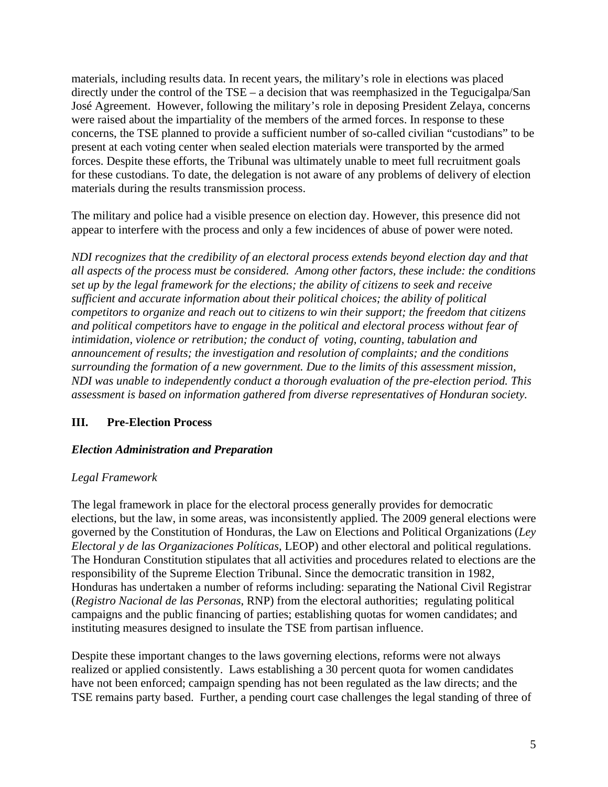materials, including results data. In recent years, the military's role in elections was placed directly under the control of the TSE – a decision that was reemphasized in the Tegucigalpa/San José Agreement. However, following the military's role in deposing President Zelaya, concerns were raised about the impartiality of the members of the armed forces. In response to these concerns, the TSE planned to provide a sufficient number of so-called civilian "custodians" to be present at each voting center when sealed election materials were transported by the armed forces. Despite these efforts, the Tribunal was ultimately unable to meet full recruitment goals for these custodians. To date, the delegation is not aware of any problems of delivery of election materials during the results transmission process.

The military and police had a visible presence on election day. However, this presence did not appear to interfere with the process and only a few incidences of abuse of power were noted.

*NDI recognizes that the credibility of an electoral process extends beyond election day and that all aspects of the process must be considered. Among other factors, these include: the conditions set up by the legal framework for the elections; the ability of citizens to seek and receive sufficient and accurate information about their political choices; the ability of political competitors to organize and reach out to citizens to win their support; the freedom that citizens and political competitors have to engage in the political and electoral process without fear of intimidation, violence or retribution; the conduct of voting, counting, tabulation and announcement of results; the investigation and resolution of complaints; and the conditions surrounding the formation of a new government. Due to the limits of this assessment mission, NDI was unable to independently conduct a thorough evaluation of the pre-election period. This assessment is based on information gathered from diverse representatives of Honduran society.*

### **III. Pre-Election Process**

### *Election Administration and Preparation*

### *Legal Framework*

The legal framework in place for the electoral process generally provides for democratic elections, but the law, in some areas, was inconsistently applied. The 2009 general elections were governed by the Constitution of Honduras, the Law on Elections and Political Organizations (*Ley Electoral y de las Organizaciones Políticas*, LEOP) and other electoral and political regulations. The Honduran Constitution stipulates that all activities and procedures related to elections are the responsibility of the Supreme Election Tribunal. Since the democratic transition in 1982, Honduras has undertaken a number of reforms including: separating the National Civil Registrar (*Registro Nacional de las Personas*, RNP) from the electoral authorities; regulating political campaigns and the public financing of parties; establishing quotas for women candidates; and instituting measures designed to insulate the TSE from partisan influence.

Despite these important changes to the laws governing elections, reforms were not always realized or applied consistently. Laws establishing a 30 percent quota for women candidates have not been enforced; campaign spending has not been regulated as the law directs; and the TSE remains party based. Further, a pending court case challenges the legal standing of three of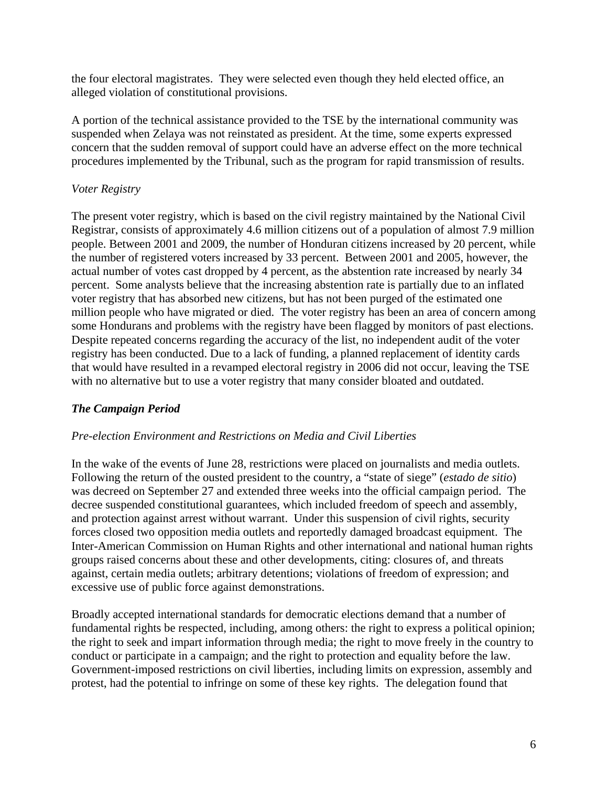the four electoral magistrates. They were selected even though they held elected office, an alleged violation of constitutional provisions.

A portion of the technical assistance provided to the TSE by the international community was suspended when Zelaya was not reinstated as president. At the time, some experts expressed concern that the sudden removal of support could have an adverse effect on the more technical procedures implemented by the Tribunal, such as the program for rapid transmission of results.

### *Voter Registry*

The present voter registry, which is based on the civil registry maintained by the National Civil Registrar, consists of approximately 4.6 million citizens out of a population of almost 7.9 million people. Between 2001 and 2009, the number of Honduran citizens increased by 20 percent, while the number of registered voters increased by 33 percent. Between 2001 and 2005, however, the actual number of votes cast dropped by 4 percent, as the abstention rate increased by nearly 34 percent. Some analysts believe that the increasing abstention rate is partially due to an inflated voter registry that has absorbed new citizens, but has not been purged of the estimated one million people who have migrated or died. The voter registry has been an area of concern among some Hondurans and problems with the registry have been flagged by monitors of past elections. Despite repeated concerns regarding the accuracy of the list, no independent audit of the voter registry has been conducted. Due to a lack of funding, a planned replacement of identity cards that would have resulted in a revamped electoral registry in 2006 did not occur, leaving the TSE with no alternative but to use a voter registry that many consider bloated and outdated.

### *The Campaign Period*

#### *Pre-election Environment and Restrictions on Media and Civil Liberties*

In the wake of the events of June 28, restrictions were placed on journalists and media outlets. Following the return of the ousted president to the country, a "state of siege" (*estado de sitio*) was decreed on September 27 and extended three weeks into the official campaign period. The decree suspended constitutional guarantees, which included freedom of speech and assembly, and protection against arrest without warrant. Under this suspension of civil rights, security forces closed two opposition media outlets and reportedly damaged broadcast equipment. The Inter-American Commission on Human Rights and other international and national human rights groups raised concerns about these and other developments, citing: closures of, and threats against, certain media outlets; arbitrary detentions; violations of freedom of expression; and excessive use of public force against demonstrations.

Broadly accepted international standards for democratic elections demand that a number of fundamental rights be respected, including, among others: the right to express a political opinion; the right to seek and impart information through media; the right to move freely in the country to conduct or participate in a campaign; and the right to protection and equality before the law. Government-imposed restrictions on civil liberties, including limits on expression, assembly and protest, had the potential to infringe on some of these key rights. The delegation found that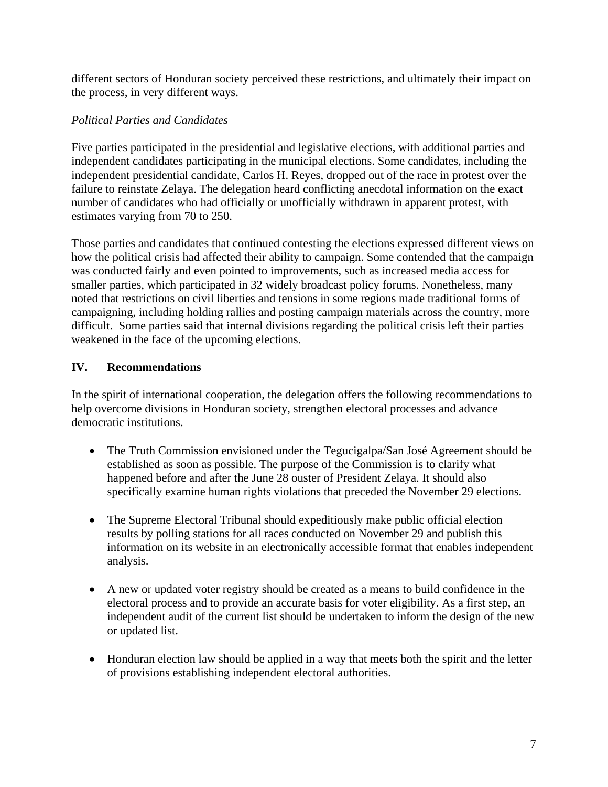different sectors of Honduran society perceived these restrictions, and ultimately their impact on the process, in very different ways.

# *Political Parties and Candidates*

Five parties participated in the presidential and legislative elections, with additional parties and independent candidates participating in the municipal elections. Some candidates, including the independent presidential candidate, Carlos H. Reyes, dropped out of the race in protest over the failure to reinstate Zelaya. The delegation heard conflicting anecdotal information on the exact number of candidates who had officially or unofficially withdrawn in apparent protest, with estimates varying from 70 to 250.

Those parties and candidates that continued contesting the elections expressed different views on how the political crisis had affected their ability to campaign. Some contended that the campaign was conducted fairly and even pointed to improvements, such as increased media access for smaller parties, which participated in 32 widely broadcast policy forums. Nonetheless, many noted that restrictions on civil liberties and tensions in some regions made traditional forms of campaigning, including holding rallies and posting campaign materials across the country, more difficult. Some parties said that internal divisions regarding the political crisis left their parties weakened in the face of the upcoming elections.

# **IV. Recommendations**

In the spirit of international cooperation, the delegation offers the following recommendations to help overcome divisions in Honduran society, strengthen electoral processes and advance democratic institutions.

- The Truth Commission envisioned under the Tegucigalpa/San José Agreement should be established as soon as possible. The purpose of the Commission is to clarify what happened before and after the June 28 ouster of President Zelaya. It should also specifically examine human rights violations that preceded the November 29 elections.
- The Supreme Electoral Tribunal should expeditiously make public official election results by polling stations for all races conducted on November 29 and publish this information on its website in an electronically accessible format that enables independent analysis.
- A new or updated voter registry should be created as a means to build confidence in the electoral process and to provide an accurate basis for voter eligibility. As a first step, an independent audit of the current list should be undertaken to inform the design of the new or updated list.
- Honduran election law should be applied in a way that meets both the spirit and the letter of provisions establishing independent electoral authorities.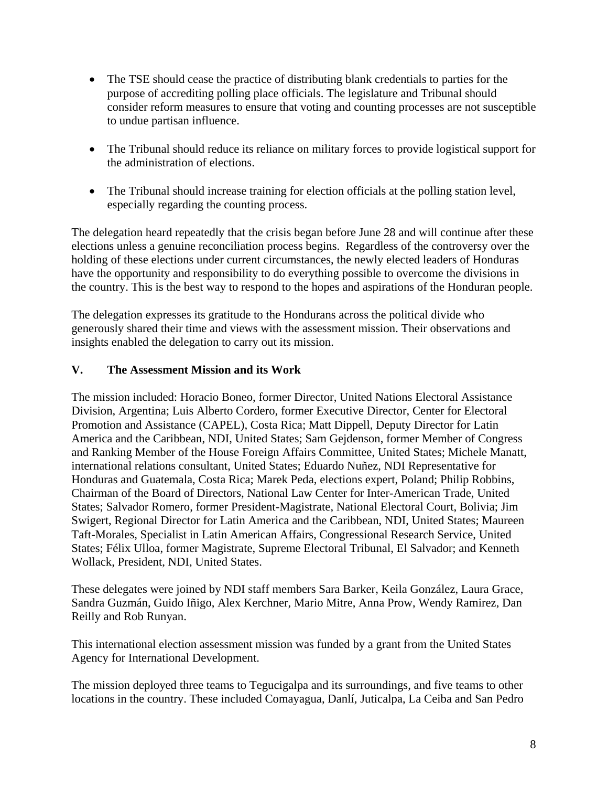- The TSE should cease the practice of distributing blank credentials to parties for the purpose of accrediting polling place officials. The legislature and Tribunal should consider reform measures to ensure that voting and counting processes are not susceptible to undue partisan influence.
- The Tribunal should reduce its reliance on military forces to provide logistical support for the administration of elections.
- The Tribunal should increase training for election officials at the polling station level, especially regarding the counting process.

The delegation heard repeatedly that the crisis began before June 28 and will continue after these elections unless a genuine reconciliation process begins. Regardless of the controversy over the holding of these elections under current circumstances, the newly elected leaders of Honduras have the opportunity and responsibility to do everything possible to overcome the divisions in the country. This is the best way to respond to the hopes and aspirations of the Honduran people.

The delegation expresses its gratitude to the Hondurans across the political divide who generously shared their time and views with the assessment mission. Their observations and insights enabled the delegation to carry out its mission.

### **V. The Assessment Mission and its Work**

The mission included: Horacio Boneo, former Director, United Nations Electoral Assistance Division, Argentina; Luis Alberto Cordero, former Executive Director, Center for Electoral Promotion and Assistance (CAPEL), Costa Rica; Matt Dippell, Deputy Director for Latin America and the Caribbean, NDI, United States; Sam Gejdenson, former Member of Congress and Ranking Member of the House Foreign Affairs Committee, United States; Michele Manatt, international relations consultant, United States; Eduardo Nuñez, NDI Representative for Honduras and Guatemala, Costa Rica; Marek Peda, elections expert, Poland; Philip Robbins, Chairman of the Board of Directors, National Law Center for Inter-American Trade, United States; Salvador Romero, former President-Magistrate, National Electoral Court, Bolivia; Jim Swigert, Regional Director for Latin America and the Caribbean, NDI, United States; Maureen Taft-Morales, Specialist in Latin American Affairs, Congressional Research Service, United States; Félix Ulloa, former Magistrate, Supreme Electoral Tribunal, El Salvador; and Kenneth Wollack, President, NDI, United States.

These delegates were joined by NDI staff members Sara Barker, Keila González, Laura Grace, Sandra Guzmán, Guido Iñigo, Alex Kerchner, Mario Mitre, Anna Prow, Wendy Ramirez, Dan Reilly and Rob Runyan.

This international election assessment mission was funded by a grant from the United States Agency for International Development.

The mission deployed three teams to Tegucigalpa and its surroundings, and five teams to other locations in the country. These included Comayagua, Danlí, Juticalpa, La Ceiba and San Pedro